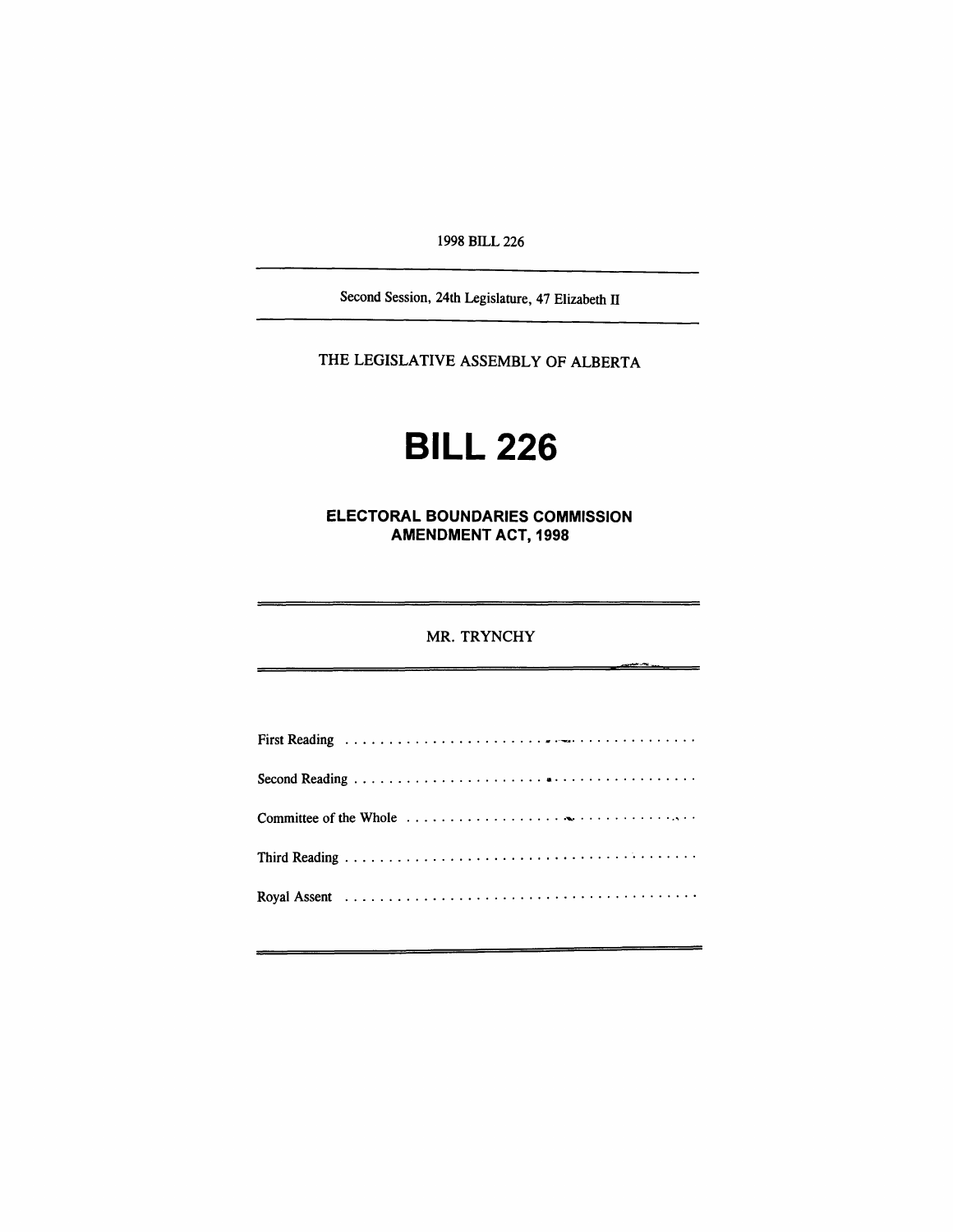*1998 BILL 226*

*Second Session, 24th Legislature, 47 Elizabeth II*

*THE LEGISLATIVE ASSEMBLY OF ALBERTA*

# *BILL 226*

*ELECTORAL BOUNDARIES COMMISSION AMENDMENT ACT, 1998*

### *MR. TRYNCHY*

<u>, an an an</u>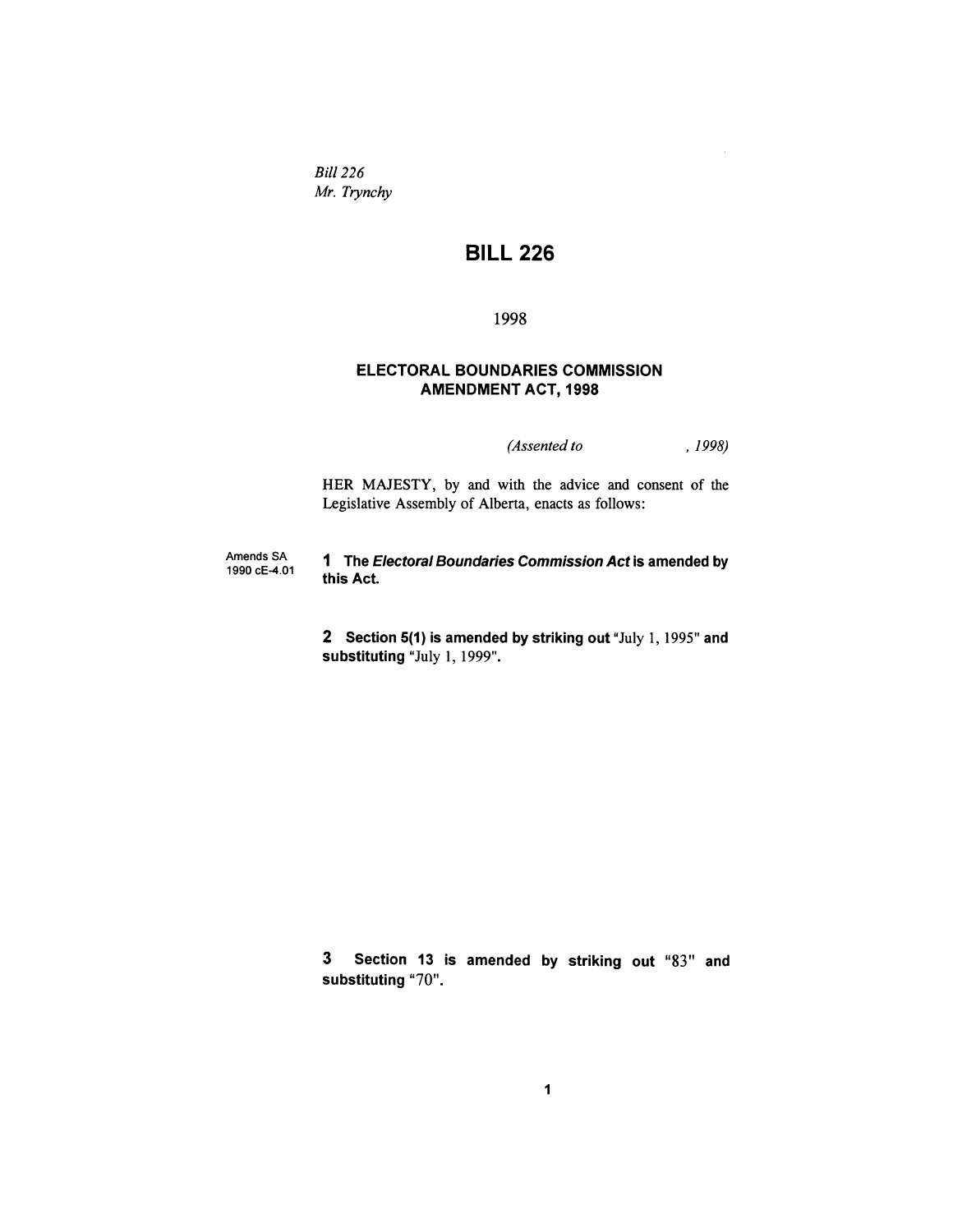*Bill 226 Mr. Trynchy*

# *BILL 226*

#### *1998*

## *ELECTORAL BOUNDARIES COMMISSION AMENDMENT ACT, 1998*

*(Assented to , 1998)*

*HER MAJESTY, by and with the advice and consent of the Legislative Assembly of Alberta, enacts as follows:*

*Amends SA 1990 cE-4.01 1 The Electoral Boundaries Commission Act is amended by this Act*

> *2 Section 5(1) is amended by striking out "July 1,1995" and substituting "July 1, 1999".*

> *3 Section 13 is amended by striking out "83" and substituting "70".*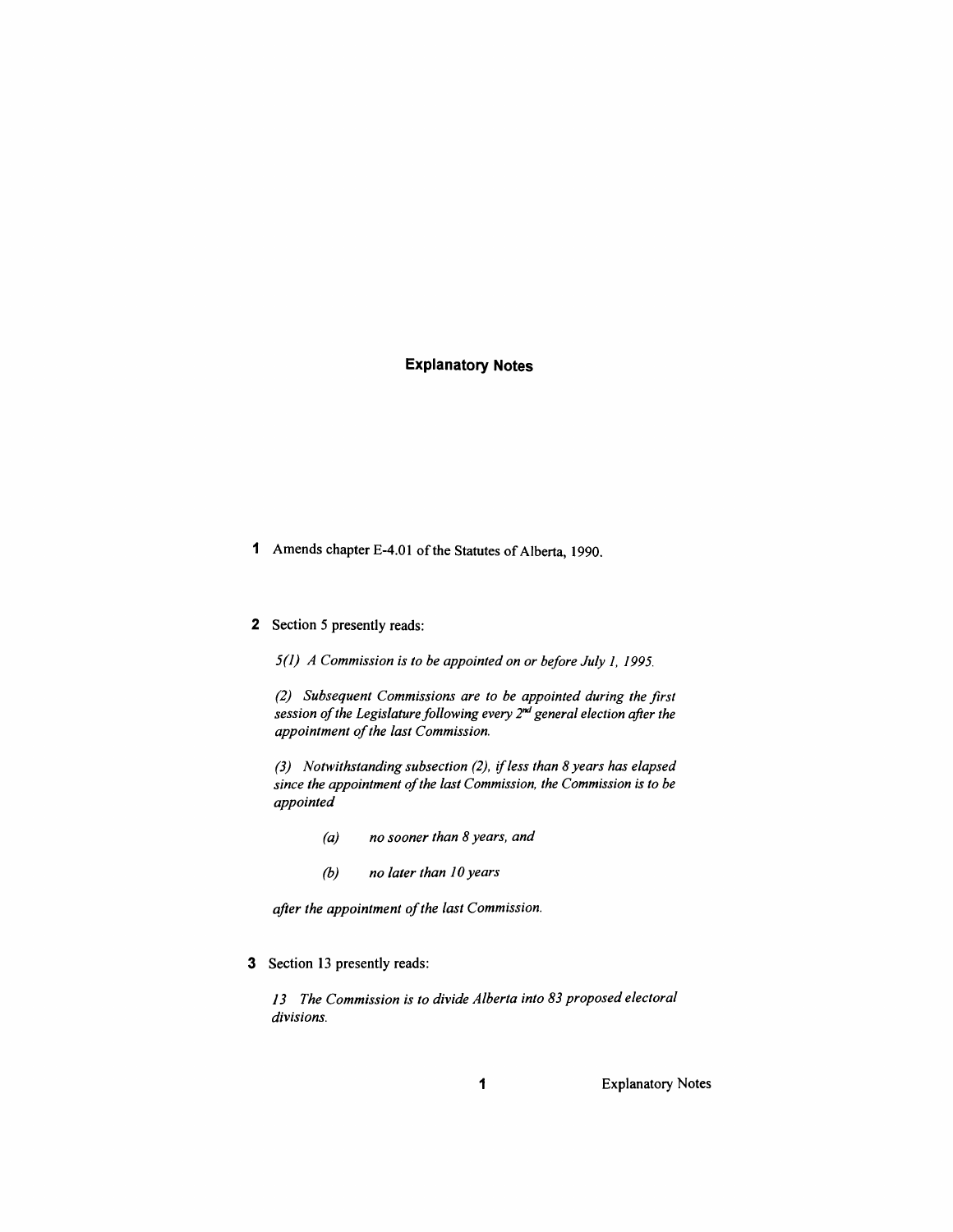# *Explanatory Notes*

*<sup>1</sup> Amends chapter E-4.01 ofthe Statutes ofAlberta, 1990.*

#### *2 Section 5 presently reads:*

*5(1) A Commission is to be appointed on or before July 1, 1995.*

*(2) Subsequent Commissions are to be appointed during the first session ofthe Legislaturefollowing every 2nd general election after the appointment ofthe last Commission.*

*(3) Notwithstanding subsection (2), ifless than 8 years has elapsed since the appointment ofthe last Commission, the Commission is to be appointed*

- *(a) no sooner than 8 years, and*
- *(b) no later than 10 years*

*after the appointment ofthe last Commission.*

*3 Section 13 presently reads:*

*13 The Commission is to divide Alberta into 83 proposed electoral divisions.*

*<sup>1</sup> Explanatory Notes*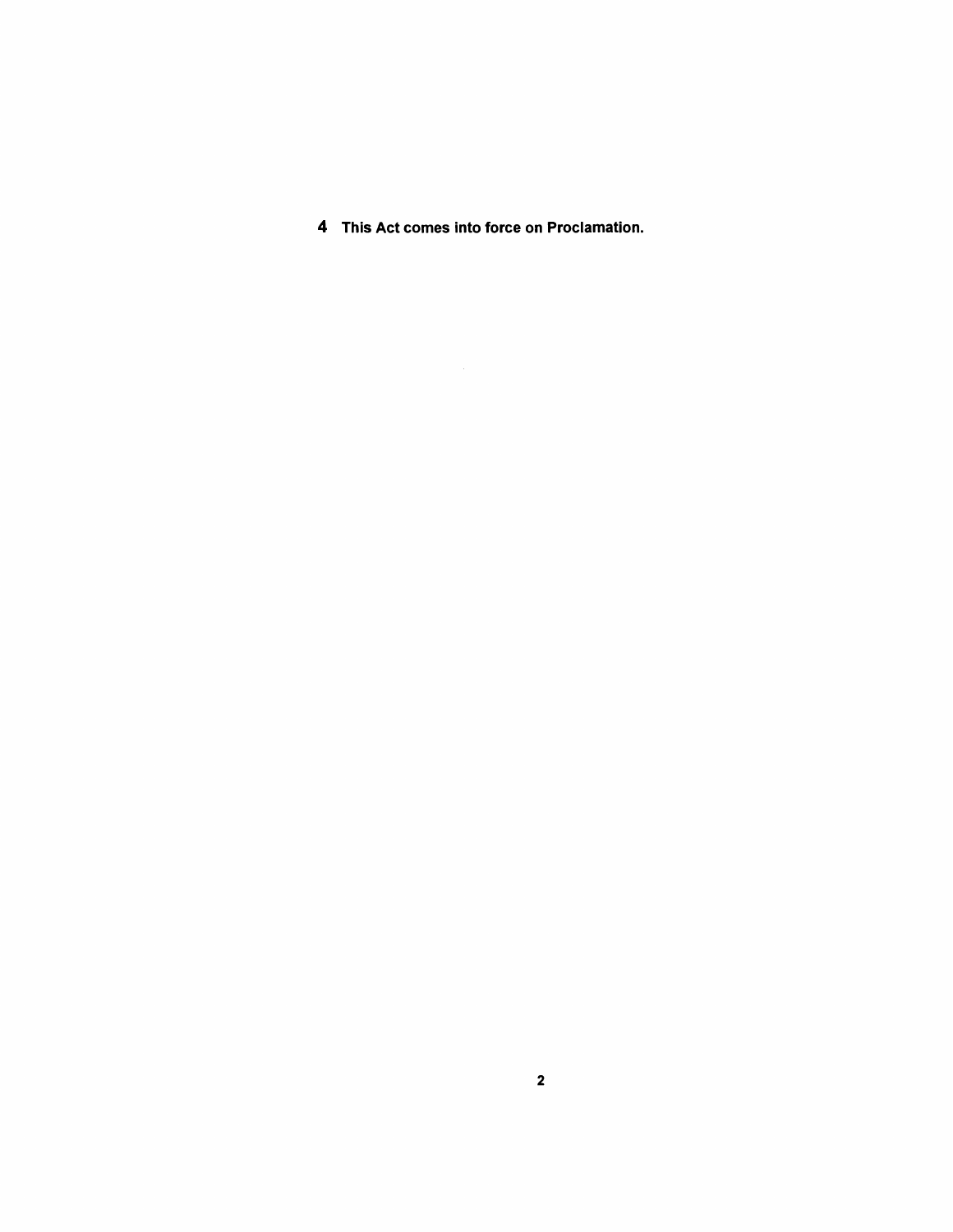*This Act comes into force on Proclamation.*